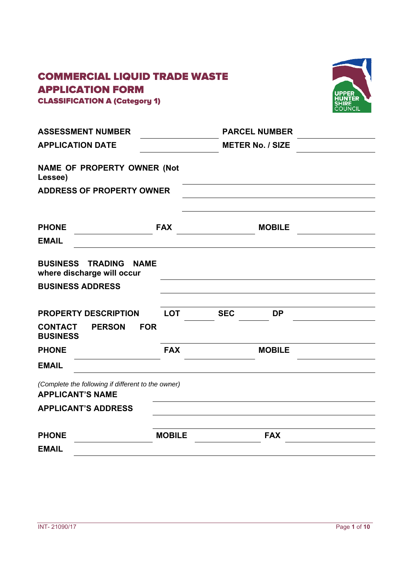# COMMERCIAL LIQUID TRADE WASTE APPLICATION FORM



CLASSIFICATION A (Category 1)

| <b>ASSESSMENT NUMBER</b>                                                      |               | <b>PARCEL NUMBER</b>    |  |
|-------------------------------------------------------------------------------|---------------|-------------------------|--|
| <b>APPLICATION DATE</b>                                                       |               | <b>METER No. / SIZE</b> |  |
| <b>NAME OF PROPERTY OWNER (Not</b><br>Lessee)                                 |               |                         |  |
| <b>ADDRESS OF PROPERTY OWNER</b>                                              |               |                         |  |
|                                                                               |               |                         |  |
| <b>PHONE</b>                                                                  | <b>FAX</b>    | <b>MOBILE</b>           |  |
| <b>EMAIL</b>                                                                  |               |                         |  |
| <b>BUSINESS TRADING</b><br><b>NAME</b><br>where discharge will occur          |               |                         |  |
| <b>BUSINESS ADDRESS</b>                                                       |               |                         |  |
| <b>PROPERTY DESCRIPTION</b>                                                   | <b>LOT</b>    | <b>SEC</b><br><b>DP</b> |  |
| <b>PERSON</b><br><b>FOR</b><br><b>CONTACT</b><br><b>BUSINESS</b>              |               |                         |  |
| <b>PHONE</b>                                                                  | <b>FAX</b>    | <b>MOBILE</b>           |  |
| <b>EMAIL</b>                                                                  |               |                         |  |
| (Complete the following if different to the owner)<br><b>APPLICANT'S NAME</b> |               |                         |  |
| <b>APPLICANT'S ADDRESS</b>                                                    |               |                         |  |
| <b>PHONE</b>                                                                  | <b>MOBILE</b> | <b>FAX</b>              |  |
| <b>EMAIL</b>                                                                  |               |                         |  |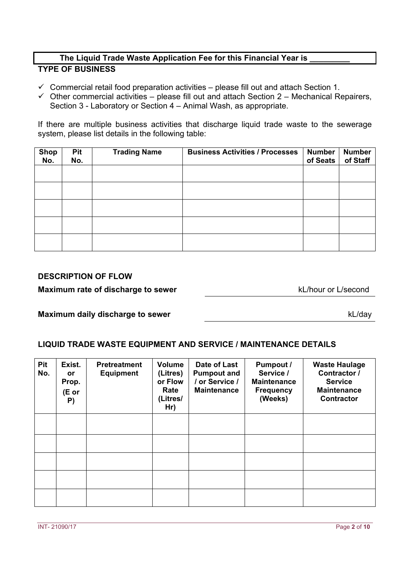#### **The Liquid Trade Waste Application Fee for this Financial Year is \_\_\_\_\_\_\_\_\_ TYPE OF BUSINESS**

- $\checkmark$  Commercial retail food preparation activities please fill out and attach Section 1.
- $\checkmark$  Other commercial activities please fill out and attach Section 2 Mechanical Repairers, Section 3 - Laboratory or Section 4 – Animal Wash, as appropriate.

If there are multiple business activities that discharge liquid trade waste to the sewerage system, please list details in the following table:

| <b>Shop</b><br>No. | <b>Pit</b><br>No. | <b>Trading Name</b> | <b>Business Activities / Processes</b> | <b>Number</b><br>of Seats | <b>Number</b><br>of Staff |
|--------------------|-------------------|---------------------|----------------------------------------|---------------------------|---------------------------|
|                    |                   |                     |                                        |                           |                           |
|                    |                   |                     |                                        |                           |                           |
|                    |                   |                     |                                        |                           |                           |
|                    |                   |                     |                                        |                           |                           |
|                    |                   |                     |                                        |                           |                           |

## **DESCRIPTION OF FLOW**

#### **Maximum rate of discharge to sewer** kL/hour or L/second

kL/day

#### **Maximum daily discharge to sewer**

# **LIQUID TRADE WASTE EQUIPMENT AND SERVICE / MAINTENANCE DETAILS**

| Pit<br>No. | Exist.<br><b>or</b><br>Prop.<br>(E or<br>P) | <b>Pretreatment</b><br><b>Equipment</b> | <b>Volume</b><br>(Litres)<br>or Flow<br>Rate<br>(Litres/<br>Hr) | Date of Last<br><b>Pumpout and</b><br>/ or Service /<br><b>Maintenance</b> | <b>Pumpout /</b><br>Service /<br><b>Maintenance</b><br><b>Frequency</b><br>(Weeks) | <b>Waste Haulage</b><br>Contractor /<br><b>Service</b><br><b>Maintenance</b><br><b>Contractor</b> |
|------------|---------------------------------------------|-----------------------------------------|-----------------------------------------------------------------|----------------------------------------------------------------------------|------------------------------------------------------------------------------------|---------------------------------------------------------------------------------------------------|
|            |                                             |                                         |                                                                 |                                                                            |                                                                                    |                                                                                                   |
|            |                                             |                                         |                                                                 |                                                                            |                                                                                    |                                                                                                   |
|            |                                             |                                         |                                                                 |                                                                            |                                                                                    |                                                                                                   |
|            |                                             |                                         |                                                                 |                                                                            |                                                                                    |                                                                                                   |
|            |                                             |                                         |                                                                 |                                                                            |                                                                                    |                                                                                                   |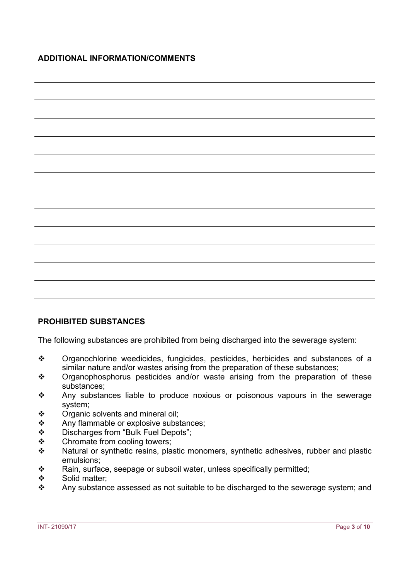# **PROHIBITED SUBSTANCES**

The following substances are prohibited from being discharged into the sewerage system:

- \* Organochlorine weedicides, fungicides, pesticides, herbicides and substances of a similar nature and/or wastes arising from the preparation of these substances;
- Organophosphorus pesticides and/or waste arising from the preparation of these substances;
- \* Any substances liable to produce noxious or poisonous vapours in the sewerage system;
- $\div$  Organic solvents and mineral oil;
- Any flammable or explosive substances;
- \* Discharges from "Bulk Fuel Depots";
- ❖ Chromate from cooling towers;
- \* Natural or synthetic resins, plastic monomers, synthetic adhesives, rubber and plastic emulsions;
- $\mathbf{\hat{P}}$  Rain, surface, seepage or subsoil water, unless specifically permitted;
- ❖ Solid matter:
- \* Any substance assessed as not suitable to be discharged to the sewerage system; and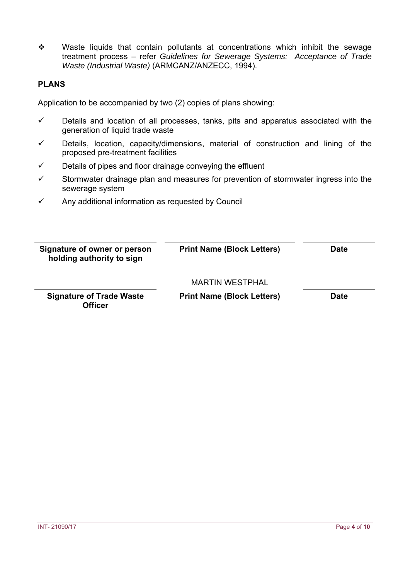• Waste liquids that contain pollutants at concentrations which inhibit the sewage treatment process – refer *Guidelines for Sewerage Systems: Acceptance of Trade Waste (Industrial Waste)* (ARMCANZ/ANZECC, 1994).

## **PLANS**

Application to be accompanied by two (2) copies of plans showing:

- $\checkmark$  Details and location of all processes, tanks, pits and apparatus associated with the generation of liquid trade waste
- $\checkmark$  Details, location, capacity/dimensions, material of construction and lining of the proposed pre-treatment facilities
- $\checkmark$  Details of pipes and floor drainage conveying the effluent
- $\checkmark$  Stormwater drainage plan and measures for prevention of stormwater ingress into the sewerage system
- $\checkmark$  Any additional information as requested by Council

| Signature of owner or person<br>holding authority to sign | <b>Print Name (Block Letters)</b>                    | <b>Date</b> |
|-----------------------------------------------------------|------------------------------------------------------|-------------|
| <b>Signature of Trade Waste</b><br><b>Officer</b>         | MARTIN WESTPHAI<br><b>Print Name (Block Letters)</b> | <b>Date</b> |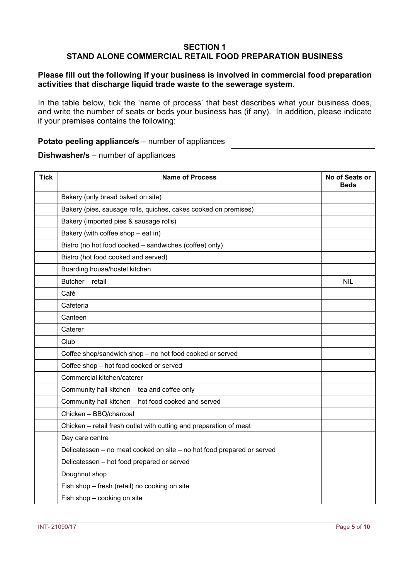# **SECTION 1 STAND ALONE COMMERCIAL RETAIL FOOD PREPARATION BUSINESS**

## **Please fill out the following if your business is involved in commercial food preparation activities that discharge liquid trade waste to the sewerage system.**

In the table below, tick the 'name of process' that best describes what your business does, and write the number of seats or beds your business has (if any). In addition, please indicate if your premises contains the following:

#### **Potato peeling appliance/s** – number of appliances

#### **Dishwasher/s** – number of appliances

| <b>Tick</b> | <b>Name of Process</b>                                                 | No of Seats or<br><b>Beds</b> |
|-------------|------------------------------------------------------------------------|-------------------------------|
|             | Bakery (only bread baked on site)                                      |                               |
|             | Bakery (pies, sausage rolls, quiches, cakes cooked on premises)        |                               |
|             | Bakery (imported pies & sausage rolls)                                 |                               |
|             | Bakery (with coffee shop - eat in)                                     |                               |
|             | Bistro (no hot food cooked - sandwiches (coffee) only)                 |                               |
|             | Bistro (hot food cooked and served)                                    |                               |
|             | Boarding house/hostel kitchen                                          |                               |
|             | Butcher - retail                                                       | <b>NIL</b>                    |
|             | Café                                                                   |                               |
|             | Cafeteria                                                              |                               |
|             | Canteen                                                                |                               |
|             | Caterer                                                                |                               |
|             | Club                                                                   |                               |
|             | Coffee shop/sandwich shop - no hot food cooked or served               |                               |
|             | Coffee shop - hot food cooked or served                                |                               |
|             | Commercial kitchen/caterer                                             |                               |
|             | Community hall kitchen - tea and coffee only                           |                               |
|             | Community hall kitchen - hot food cooked and served                    |                               |
|             | Chicken - BBQ/charcoal                                                 |                               |
|             | Chicken - retail fresh outlet with cutting and preparation of meat     |                               |
|             | Day care centre                                                        |                               |
|             | Delicatessen - no meat cooked on site - no hot food prepared or served |                               |
|             | Delicatessen - hot food prepared or served                             |                               |
|             | Doughnut shop                                                          |                               |
|             | Fish shop - fresh (retail) no cooking on site                          |                               |
|             | Fish shop - cooking on site                                            |                               |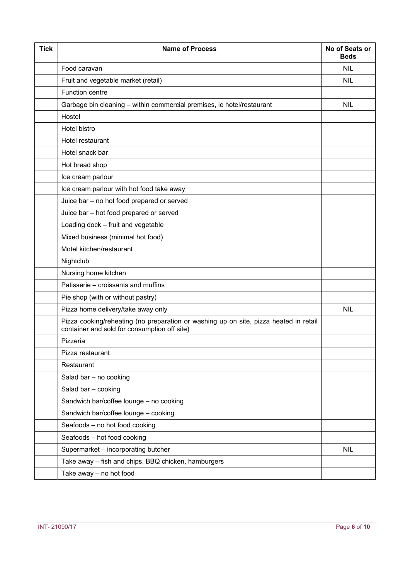| <b>Tick</b> | <b>Name of Process</b>                                                                                                                | No of Seats or<br><b>Beds</b> |
|-------------|---------------------------------------------------------------------------------------------------------------------------------------|-------------------------------|
|             | Food caravan                                                                                                                          | <b>NIL</b>                    |
|             | Fruit and vegetable market (retail)                                                                                                   | <b>NIL</b>                    |
|             | <b>Function centre</b>                                                                                                                |                               |
|             | Garbage bin cleaning - within commercial premises, ie hotel/restaurant                                                                | <b>NIL</b>                    |
|             | Hostel                                                                                                                                |                               |
|             | Hotel bistro                                                                                                                          |                               |
|             | Hotel restaurant                                                                                                                      |                               |
|             | Hotel snack bar                                                                                                                       |                               |
|             | Hot bread shop                                                                                                                        |                               |
|             | Ice cream parlour                                                                                                                     |                               |
|             | Ice cream parlour with hot food take away                                                                                             |                               |
|             | Juice bar - no hot food prepared or served                                                                                            |                               |
|             | Juice bar - hot food prepared or served                                                                                               |                               |
|             | Loading dock - fruit and vegetable                                                                                                    |                               |
|             | Mixed business (minimal hot food)                                                                                                     |                               |
|             | Motel kitchen/restaurant                                                                                                              |                               |
|             | Nightclub                                                                                                                             |                               |
|             | Nursing home kitchen                                                                                                                  |                               |
|             | Patisserie - croissants and muffins                                                                                                   |                               |
|             | Pie shop (with or without pastry)                                                                                                     |                               |
|             | Pizza home delivery/take away only                                                                                                    | <b>NIL</b>                    |
|             | Pizza cooking/reheating (no preparation or washing up on site, pizza heated in retail<br>container and sold for consumption off site) |                               |
|             | Pizzeria                                                                                                                              |                               |
|             | Pizza restaurant                                                                                                                      |                               |
|             | Restaurant                                                                                                                            |                               |
|             | Salad bar - no cooking                                                                                                                |                               |
|             | Salad bar - cooking                                                                                                                   |                               |
|             | Sandwich bar/coffee lounge - no cooking                                                                                               |                               |
|             | Sandwich bar/coffee lounge - cooking                                                                                                  |                               |
|             | Seafoods - no hot food cooking                                                                                                        |                               |
|             | Seafoods - hot food cooking                                                                                                           |                               |
|             | Supermarket - incorporating butcher                                                                                                   | <b>NIL</b>                    |
|             | Take away - fish and chips, BBQ chicken, hamburgers                                                                                   |                               |
|             | Take away - no hot food                                                                                                               |                               |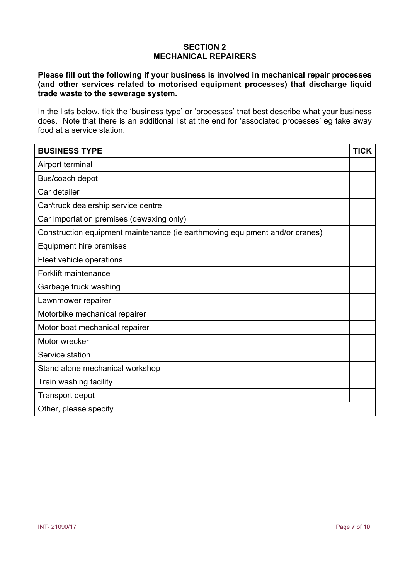# **SECTION 2 MECHANICAL REPAIRERS**

# **Please fill out the following if your business is involved in mechanical repair processes (and other services related to motorised equipment processes) that discharge liquid trade waste to the sewerage system.**

In the lists below, tick the 'business type' or 'processes' that best describe what your business does. Note that there is an additional list at the end for 'associated processes' eg take away food at a service station.

| <b>BUSINESS TYPE</b>                                                        | <b>TICK</b> |
|-----------------------------------------------------------------------------|-------------|
| Airport terminal                                                            |             |
| Bus/coach depot                                                             |             |
| Car detailer                                                                |             |
| Car/truck dealership service centre                                         |             |
| Car importation premises (dewaxing only)                                    |             |
| Construction equipment maintenance (ie earthmoving equipment and/or cranes) |             |
| Equipment hire premises                                                     |             |
| Fleet vehicle operations                                                    |             |
| <b>Forklift maintenance</b>                                                 |             |
| Garbage truck washing                                                       |             |
| Lawnmower repairer                                                          |             |
| Motorbike mechanical repairer                                               |             |
| Motor boat mechanical repairer                                              |             |
| Motor wrecker                                                               |             |
| Service station                                                             |             |
| Stand alone mechanical workshop                                             |             |
| Train washing facility                                                      |             |
| <b>Transport depot</b>                                                      |             |
| Other, please specify                                                       |             |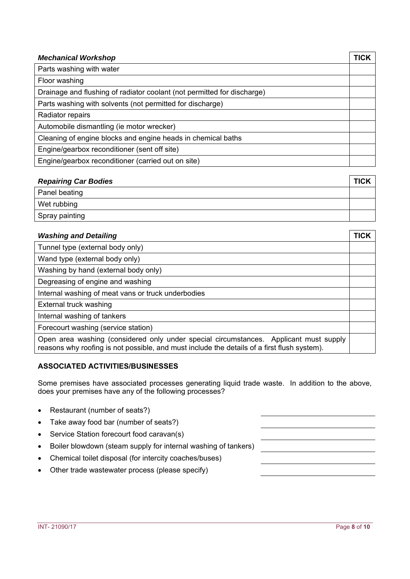| <b>Mechanical Workshop</b>                                              | TICK |
|-------------------------------------------------------------------------|------|
| Parts washing with water                                                |      |
| Floor washing                                                           |      |
| Drainage and flushing of radiator coolant (not permitted for discharge) |      |
| Parts washing with solvents (not permitted for discharge)               |      |
| Radiator repairs                                                        |      |
| Automobile dismantling (ie motor wrecker)                               |      |
| Cleaning of engine blocks and engine heads in chemical baths            |      |
| Engine/gearbox reconditioner (sent off site)                            |      |
| Engine/gearbox reconditioner (carried out on site)                      |      |

| <b>Repairing Car Bodies</b> | <b>TICK</b> |
|-----------------------------|-------------|
| Panel beating               |             |
| Wet rubbing                 |             |
| Spray painting              |             |

| <b>Washing and Detailing</b>                                                                                                                                                         | TICK |
|--------------------------------------------------------------------------------------------------------------------------------------------------------------------------------------|------|
| Tunnel type (external body only)                                                                                                                                                     |      |
| Wand type (external body only)                                                                                                                                                       |      |
| Washing by hand (external body only)                                                                                                                                                 |      |
| Degreasing of engine and washing                                                                                                                                                     |      |
| Internal washing of meat vans or truck underbodies                                                                                                                                   |      |
| External truck washing                                                                                                                                                               |      |
| Internal washing of tankers                                                                                                                                                          |      |
| Forecourt washing (service station)                                                                                                                                                  |      |
| Open area washing (considered only under special circumstances. Applicant must supply<br>reasons why roofing is not possible, and must include the details of a first flush system). |      |

#### **ASSOCIATED ACTIVITIES/BUSINESSES**

Some premises have associated processes generating liquid trade waste. In addition to the above, does your premises have any of the following processes?

- Restaurant (number of seats?)
- Take away food bar (number of seats?)
- Service Station forecourt food caravan(s)
- Boiler blowdown (steam supply for internal washing of tankers)
- Chemical toilet disposal (for intercity coaches/buses)
- Other trade wastewater process (please specify)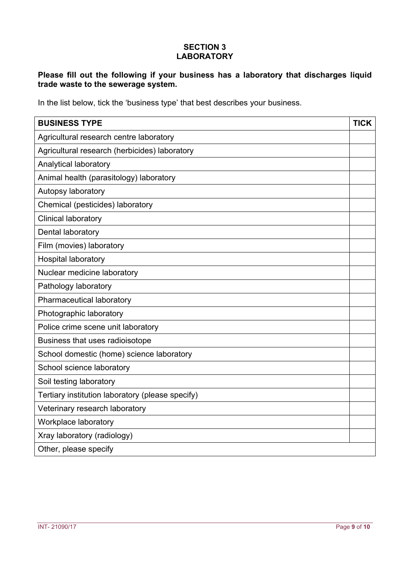# **SECTION 3 LABORATORY**

# **Please fill out the following if your business has a laboratory that discharges liquid trade waste to the sewerage system.**

In the list below, tick the 'business type' that best describes your business.

| <b>BUSINESS TYPE</b>                             | <b>TICK</b> |
|--------------------------------------------------|-------------|
| Agricultural research centre laboratory          |             |
| Agricultural research (herbicides) laboratory    |             |
| Analytical laboratory                            |             |
| Animal health (parasitology) laboratory          |             |
| Autopsy laboratory                               |             |
| Chemical (pesticides) laboratory                 |             |
| <b>Clinical laboratory</b>                       |             |
| Dental laboratory                                |             |
| Film (movies) laboratory                         |             |
| <b>Hospital laboratory</b>                       |             |
| Nuclear medicine laboratory                      |             |
| Pathology laboratory                             |             |
| Pharmaceutical laboratory                        |             |
| Photographic laboratory                          |             |
| Police crime scene unit laboratory               |             |
| Business that uses radioisotope                  |             |
| School domestic (home) science laboratory        |             |
| School science laboratory                        |             |
| Soil testing laboratory                          |             |
| Tertiary institution laboratory (please specify) |             |
| Veterinary research laboratory                   |             |
| Workplace laboratory                             |             |
| Xray laboratory (radiology)                      |             |
| Other, please specify                            |             |